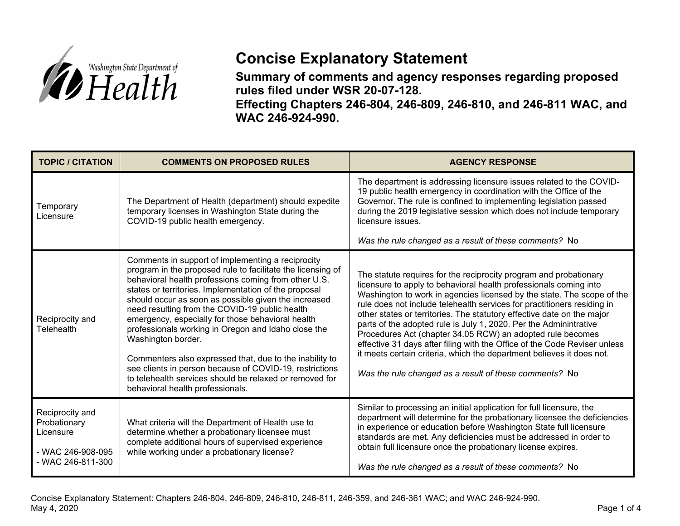

## **Concise Explanatory Statement**

**Summary of comments and agency responses regarding proposed rules filed under WSR 20-07-128.** 

**Effecting Chapters 246-804, 246-809, 246-810, and 246-811 WAC, and WAC 246-924-990.** 

| <b>TOPIC / CITATION</b>                                                                | <b>COMMENTS ON PROPOSED RULES</b>                                                                                                                                                                                                                                                                                                                                                                                                                                                                                                                                                                                                                                                                  | <b>AGENCY RESPONSE</b>                                                                                                                                                                                                                                                                                                                                                                                                                                                                                                                                                                                                                                                                                                   |
|----------------------------------------------------------------------------------------|----------------------------------------------------------------------------------------------------------------------------------------------------------------------------------------------------------------------------------------------------------------------------------------------------------------------------------------------------------------------------------------------------------------------------------------------------------------------------------------------------------------------------------------------------------------------------------------------------------------------------------------------------------------------------------------------------|--------------------------------------------------------------------------------------------------------------------------------------------------------------------------------------------------------------------------------------------------------------------------------------------------------------------------------------------------------------------------------------------------------------------------------------------------------------------------------------------------------------------------------------------------------------------------------------------------------------------------------------------------------------------------------------------------------------------------|
| Temporary<br>Licensure                                                                 | The Department of Health (department) should expedite<br>temporary licenses in Washington State during the<br>COVID-19 public health emergency.                                                                                                                                                                                                                                                                                                                                                                                                                                                                                                                                                    | The department is addressing licensure issues related to the COVID-<br>19 public health emergency in coordination with the Office of the<br>Governor. The rule is confined to implementing legislation passed<br>during the 2019 legislative session which does not include temporary<br>licensure issues.<br>Was the rule changed as a result of these comments? No                                                                                                                                                                                                                                                                                                                                                     |
| Reciprocity and<br>Telehealth                                                          | Comments in support of implementing a reciprocity<br>program in the proposed rule to facilitate the licensing of<br>behavioral health professions coming from other U.S.<br>states or territories. Implementation of the proposal<br>should occur as soon as possible given the increased<br>need resulting from the COVID-19 public health<br>emergency, especially for those behavioral health<br>professionals working in Oregon and Idaho close the<br>Washington border.<br>Commenters also expressed that, due to the inability to<br>see clients in person because of COVID-19, restrictions<br>to telehealth services should be relaxed or removed for<br>behavioral health professionals. | The statute requires for the reciprocity program and probationary<br>licensure to apply to behavioral health professionals coming into<br>Washington to work in agencies licensed by the state. The scope of the<br>rule does not include telehealth services for practitioners residing in<br>other states or territories. The statutory effective date on the major<br>parts of the adopted rule is July 1, 2020. Per the Adminintrative<br>Procedures Act (chapter 34.05 RCW) an adopted rule becomes<br>effective 31 days after filing with the Office of the Code Reviser unless<br>it meets certain criteria, which the department believes it does not.<br>Was the rule changed as a result of these comments? No |
| Reciprocity and<br>Probationary<br>Licensure<br>- WAC 246-908-095<br>- WAC 246-811-300 | What criteria will the Department of Health use to<br>determine whether a probationary licensee must<br>complete additional hours of supervised experience<br>while working under a probationary license?                                                                                                                                                                                                                                                                                                                                                                                                                                                                                          | Similar to processing an initial application for full licensure, the<br>department will determine for the probationary licensee the deficiencies<br>in experience or education before Washington State full licensure<br>standards are met. Any deficiencies must be addressed in order to<br>obtain full licensure once the probationary license expires.<br>Was the rule changed as a result of these comments? No                                                                                                                                                                                                                                                                                                     |

Concise Explanatory Statement: Chapters 246-804, 246-809, 246-810, 246-811, 246-359, and 246-361 WAC; and WAC 246-924-990. May 4, 2020 Page 1 of 4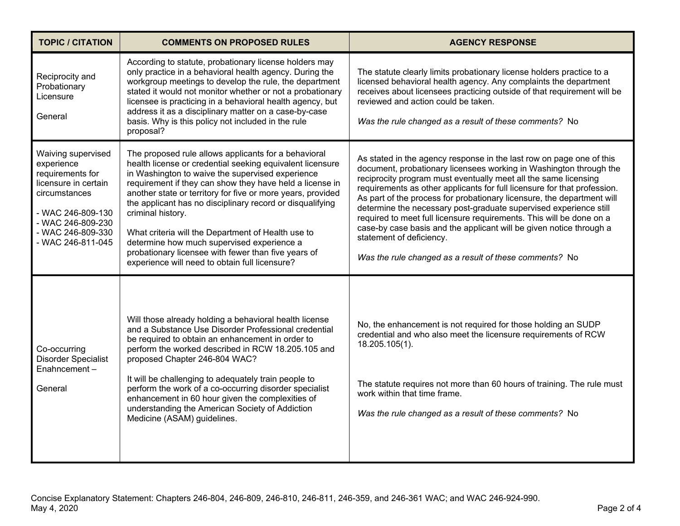| <b>TOPIC / CITATION</b>                                                                                                                                                           | <b>COMMENTS ON PROPOSED RULES</b>                                                                                                                                                                                                                                                                                                                                                                                                                                                                                                                                                               | <b>AGENCY RESPONSE</b>                                                                                                                                                                                                                                                                                                                                                                                                                                                                                                                                                                                                                                                        |
|-----------------------------------------------------------------------------------------------------------------------------------------------------------------------------------|-------------------------------------------------------------------------------------------------------------------------------------------------------------------------------------------------------------------------------------------------------------------------------------------------------------------------------------------------------------------------------------------------------------------------------------------------------------------------------------------------------------------------------------------------------------------------------------------------|-------------------------------------------------------------------------------------------------------------------------------------------------------------------------------------------------------------------------------------------------------------------------------------------------------------------------------------------------------------------------------------------------------------------------------------------------------------------------------------------------------------------------------------------------------------------------------------------------------------------------------------------------------------------------------|
| Reciprocity and<br>Probationary<br>Licensure<br>General                                                                                                                           | According to statute, probationary license holders may<br>only practice in a behavioral health agency. During the<br>workgroup meetings to develop the rule, the department<br>stated it would not monitor whether or not a probationary<br>licensee is practicing in a behavioral health agency, but<br>address it as a disciplinary matter on a case-by-case<br>basis. Why is this policy not included in the rule<br>proposal?                                                                                                                                                               | The statute clearly limits probationary license holders practice to a<br>licensed behavioral health agency. Any complaints the department<br>receives about licensees practicing outside of that requirement will be<br>reviewed and action could be taken.<br>Was the rule changed as a result of these comments? No                                                                                                                                                                                                                                                                                                                                                         |
| Waiving supervised<br>experience<br>requirements for<br>licensure in certain<br>circumstances<br>- WAC 246-809-130<br>- WAC 246-809-230<br>- WAC 246-809-330<br>- WAC 246-811-045 | The proposed rule allows applicants for a behavioral<br>health license or credential seeking equivalent licensure<br>in Washington to waive the supervised experience<br>requirement if they can show they have held a license in<br>another state or territory for five or more years, provided<br>the applicant has no disciplinary record or disqualifying<br>criminal history.<br>What criteria will the Department of Health use to<br>determine how much supervised experience a<br>probationary licensee with fewer than five years of<br>experience will need to obtain full licensure? | As stated in the agency response in the last row on page one of this<br>document, probationary licensees working in Washington through the<br>reciprocity program must eventually meet all the same licensing<br>requirements as other applicants for full licensure for that profession.<br>As part of the process for probationary licensure, the department will<br>determine the necessary post-graduate supervised experience still<br>required to meet full licensure requirements. This will be done on a<br>case-by case basis and the applicant will be given notice through a<br>statement of deficiency.<br>Was the rule changed as a result of these comments? No |
| Co-occurring<br><b>Disorder Specialist</b><br>Enahncement-<br>General                                                                                                             | Will those already holding a behavioral health license<br>and a Substance Use Disorder Professional credential<br>be required to obtain an enhancement in order to<br>perform the worked described in RCW 18.205.105 and<br>proposed Chapter 246-804 WAC?<br>It will be challenging to adequately train people to<br>perform the work of a co-occurring disorder specialist<br>enhancement in 60 hour given the complexities of<br>understanding the American Society of Addiction<br>Medicine (ASAM) guidelines.                                                                               | No, the enhancement is not required for those holding an SUDP<br>credential and who also meet the licensure requirements of RCW<br>18.205.105(1).<br>The statute requires not more than 60 hours of training. The rule must<br>work within that time frame.<br>Was the rule changed as a result of these comments? No                                                                                                                                                                                                                                                                                                                                                         |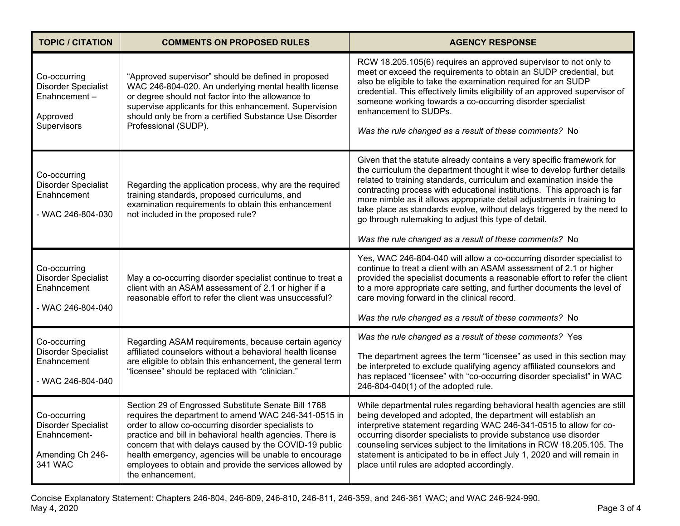| <b>TOPIC / CITATION</b>                                                                   | <b>COMMENTS ON PROPOSED RULES</b>                                                                                                                                                                                                                                                                                                                                                                                                  | <b>AGENCY RESPONSE</b>                                                                                                                                                                                                                                                                                                                                                                                                                                                                                                                                                      |
|-------------------------------------------------------------------------------------------|------------------------------------------------------------------------------------------------------------------------------------------------------------------------------------------------------------------------------------------------------------------------------------------------------------------------------------------------------------------------------------------------------------------------------------|-----------------------------------------------------------------------------------------------------------------------------------------------------------------------------------------------------------------------------------------------------------------------------------------------------------------------------------------------------------------------------------------------------------------------------------------------------------------------------------------------------------------------------------------------------------------------------|
| Co-occurring<br><b>Disorder Specialist</b><br>Enahncement-<br>Approved<br>Supervisors     | "Approved supervisor" should be defined in proposed<br>WAC 246-804-020. An underlying mental health license<br>or degree should not factor into the allowance to<br>supervise applicants for this enhancement. Supervision<br>should only be from a certified Substance Use Disorder<br>Professional (SUDP).                                                                                                                       | RCW 18.205.105(6) requires an approved supervisor to not only to<br>meet or exceed the requirements to obtain an SUDP credential, but<br>also be eligible to take the examination required for an SUDP<br>credential. This effectively limits eligibility of an approved supervisor of<br>someone working towards a co-occurring disorder specialist<br>enhancement to SUDPs.<br>Was the rule changed as a result of these comments? No                                                                                                                                     |
| Co-occurring<br><b>Disorder Specialist</b><br>Enahncement<br>- WAC 246-804-030            | Regarding the application process, why are the required<br>training standards, proposed curriculums, and<br>examination requirements to obtain this enhancement<br>not included in the proposed rule?                                                                                                                                                                                                                              | Given that the statute already contains a very specific framework for<br>the curriculum the department thought it wise to develop further details<br>related to training standards, curriculum and examination inside the<br>contracting process with educational institutions. This approach is far<br>more nimble as it allows appropriate detail adjustments in training to<br>take place as standards evolve, without delays triggered by the need to<br>go through rulemaking to adjust this type of detail.<br>Was the rule changed as a result of these comments? No |
| Co-occurring<br><b>Disorder Specialist</b><br>Enahncement<br>- WAC 246-804-040            | May a co-occurring disorder specialist continue to treat a<br>client with an ASAM assessment of 2.1 or higher if a<br>reasonable effort to refer the client was unsuccessful?                                                                                                                                                                                                                                                      | Yes, WAC 246-804-040 will allow a co-occurring disorder specialist to<br>continue to treat a client with an ASAM assessment of 2.1 or higher<br>provided the specialist documents a reasonable effort to refer the client<br>to a more appropriate care setting, and further documents the level of<br>care moving forward in the clinical record.<br>Was the rule changed as a result of these comments? No                                                                                                                                                                |
| Co-occurring<br><b>Disorder Specialist</b><br>Enahncement<br>- WAC 246-804-040            | Regarding ASAM requirements, because certain agency<br>affiliated counselors without a behavioral health license<br>are eligible to obtain this enhancement, the general term<br>"licensee" should be replaced with "clinician."                                                                                                                                                                                                   | Was the rule changed as a result of these comments? Yes                                                                                                                                                                                                                                                                                                                                                                                                                                                                                                                     |
|                                                                                           |                                                                                                                                                                                                                                                                                                                                                                                                                                    | The department agrees the term "licensee" as used in this section may<br>be interpreted to exclude qualifying agency affiliated counselors and<br>has replaced "licensee" with "co-occurring disorder specialist" in WAC<br>246-804-040(1) of the adopted rule.                                                                                                                                                                                                                                                                                                             |
| Co-occurring<br><b>Disorder Specialist</b><br>Enahncement-<br>Amending Ch 246-<br>341 WAC | Section 29 of Engrossed Substitute Senate Bill 1768<br>requires the department to amend WAC 246-341-0515 in<br>order to allow co-occurring disorder specialists to<br>practice and bill in behavioral health agencies. There is<br>concern that with delays caused by the COVID-19 public<br>health emergency, agencies will be unable to encourage<br>employees to obtain and provide the services allowed by<br>the enhancement. | While departmental rules regarding behavioral health agencies are still<br>being developed and adopted, the department will establish an<br>interpretive statement regarding WAC 246-341-0515 to allow for co-<br>occurring disorder specialists to provide substance use disorder<br>counseling services subject to the limitations in RCW 18.205.105. The<br>statement is anticipated to be in effect July 1, 2020 and will remain in<br>place until rules are adopted accordingly.                                                                                       |